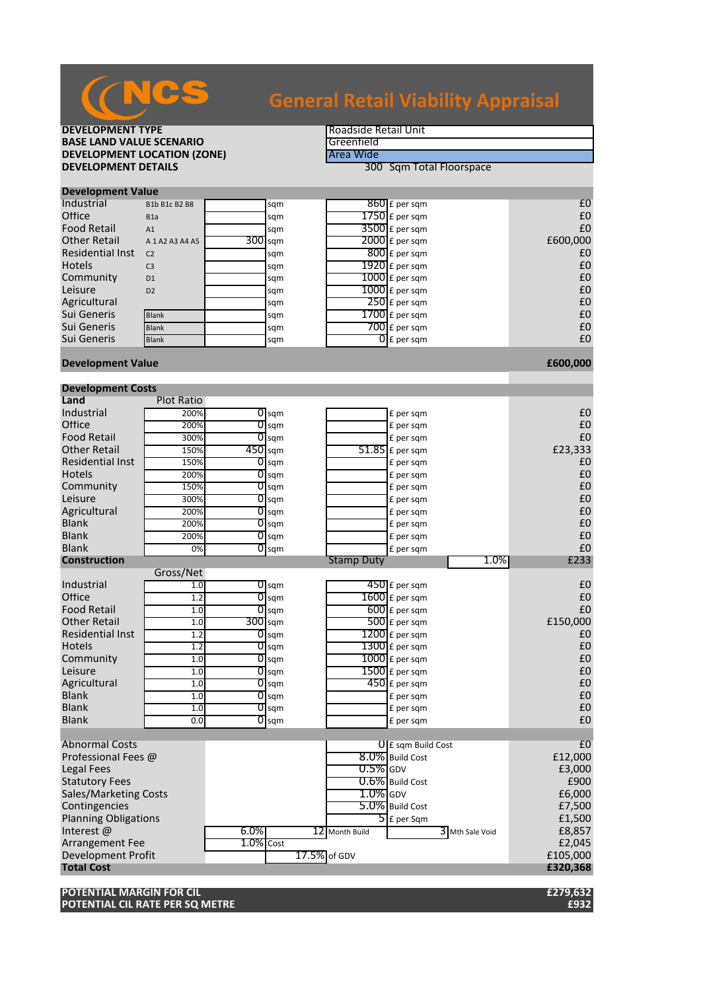

# **General Retail Viability Appraisal**

## **DEVELOPMENT TYPE**<br> **BASE LAND VALUE SCENARIO BASE LAND VALUE SCENARIO**<br> **DEVELOPMENT LOCATION (ZONE)** The Case of the Case of Area Wide **DEVELOPMENT LOCATION (ZONE)**<br>DEVELOPMENT DETAILS

**300 Sqm Total Floorspace** 

| <b>PLACIOPHICHE VAIDL</b> |                     |  |           |  |                    |          |  |  |
|---------------------------|---------------------|--|-----------|--|--------------------|----------|--|--|
| Industrial                | B1b B1c B2 B8       |  | sqm       |  | $860$ £ per sqm    | £C       |  |  |
| Office                    | B <sub>1</sub> a    |  | sqm       |  | $1750$ $E$ per sqm | £C       |  |  |
| <b>Food Retail</b>        | A1                  |  | sqm       |  | $3500$ £ per sqm   | £C       |  |  |
| <b>Other Retail</b>       | A 1 A 2 A 3 A 4 A 5 |  | $300$ sqm |  | $2000$ $E$ per sqm | £600,000 |  |  |
| <b>Residential Inst</b>   | C <sub>2</sub>      |  | sqm       |  | $800$ £ per sqm    | £C       |  |  |
| <b>Hotels</b>             | C <sub>3</sub>      |  | sqm       |  | $1920$ £ per sqm   | £C       |  |  |
| Community                 | D <sub>1</sub>      |  | sqm       |  | $1000$ £ per sqm   | £C       |  |  |
| Leisure                   | D <sub>2</sub>      |  | sqm       |  | $1000$ £ per sqm   | £C       |  |  |
| Agricultural              |                     |  | sqm       |  | $250$ £ per sqm    | £C       |  |  |
| Sui Generis               | <b>Blank</b>        |  | sqm       |  | $1700$ £ per sqm   | £C       |  |  |
| Sui Generis               | <b>Blank</b>        |  | sqm       |  | $700$ £ per sqm    | £C       |  |  |
| Sui Generis               | <b>Blank</b>        |  | sqm       |  | $0f$ per sqm       | £C       |  |  |

### **Development Value Alternative Contract Contract Contract Contract Contract Contract Contract Contract Contract Contract Contract Contract Contract Contract Contract Contract Contract Contract Contract Contract Contract**

**Development Value**

| Land<br><b>Plot Ratio</b><br>Industrial<br>200%<br>$\overline{O}$ sqm<br>£ per sqm<br>Office<br>$\overline{0}$ sqm<br>200%<br>£ per sqm<br><b>Food Retail</b><br>300%<br>01<br>£ per sqm<br>sqm<br><b>Other Retail</b><br>$450$ sqm<br>£23,333<br>$51.85$ £ per sqm<br>150%<br><b>Residential Inst</b><br>150%<br>$\overline{0}$ sqm<br>£ per sqm<br><b>Hotels</b><br>200%<br>$O$ sqm<br>£ per sqm<br>Community<br>150%<br>$\overline{O}$ sqm<br>£ per sqm | £C<br>£C<br>£0<br>£C<br>£C<br>£C<br>£C<br>£C<br>£C<br>£C |
|------------------------------------------------------------------------------------------------------------------------------------------------------------------------------------------------------------------------------------------------------------------------------------------------------------------------------------------------------------------------------------------------------------------------------------------------------------|----------------------------------------------------------|
|                                                                                                                                                                                                                                                                                                                                                                                                                                                            |                                                          |
|                                                                                                                                                                                                                                                                                                                                                                                                                                                            |                                                          |
|                                                                                                                                                                                                                                                                                                                                                                                                                                                            |                                                          |
|                                                                                                                                                                                                                                                                                                                                                                                                                                                            |                                                          |
|                                                                                                                                                                                                                                                                                                                                                                                                                                                            |                                                          |
|                                                                                                                                                                                                                                                                                                                                                                                                                                                            |                                                          |
|                                                                                                                                                                                                                                                                                                                                                                                                                                                            |                                                          |
|                                                                                                                                                                                                                                                                                                                                                                                                                                                            |                                                          |
| Leisure<br>300%<br>$\overline{O}$ sqm<br>£ per sqm                                                                                                                                                                                                                                                                                                                                                                                                         |                                                          |
| Agricultural<br>200%<br>01<br>£ per sqm<br>sqm                                                                                                                                                                                                                                                                                                                                                                                                             |                                                          |
| <b>Blank</b><br>200%<br>$\overline{0}$ sqm<br>£ per sqm                                                                                                                                                                                                                                                                                                                                                                                                    |                                                          |
| <b>Blank</b><br>$0$ sqm<br>£ per sqm<br>200%                                                                                                                                                                                                                                                                                                                                                                                                               |                                                          |
| <b>Blank</b><br>0%<br>$0$ sqm<br>£ per sqm                                                                                                                                                                                                                                                                                                                                                                                                                 | £C                                                       |
| 1.0%<br><b>Construction</b><br><b>Stamp Duty</b>                                                                                                                                                                                                                                                                                                                                                                                                           | £233                                                     |
| Gross/Net                                                                                                                                                                                                                                                                                                                                                                                                                                                  |                                                          |
| Industrial<br>1.0<br>$\overline{O}$ sqm<br>$450$ £ per sqm                                                                                                                                                                                                                                                                                                                                                                                                 | £C                                                       |
| Office<br>$1600$ £ per sqm<br>1.2<br>0<br>sqm                                                                                                                                                                                                                                                                                                                                                                                                              | £C                                                       |
| <b>Food Retail</b><br>$600$ £ per sqm<br>$O$ sqm<br>1.0                                                                                                                                                                                                                                                                                                                                                                                                    | £C                                                       |
| <b>Other Retail</b><br>300 sqm<br>$500$ £ per sqm<br>£150,000<br>1.0                                                                                                                                                                                                                                                                                                                                                                                       |                                                          |
| <b>Residential Inst</b><br>$1200$ £ per sqm<br>1.2<br>$O$ sqm                                                                                                                                                                                                                                                                                                                                                                                              | £C                                                       |
| $\overline{1300}$ £ per sqm<br><b>Hotels</b><br>1.2<br>$\overline{O}$ sqm                                                                                                                                                                                                                                                                                                                                                                                  | £C                                                       |
| $1000$ £ per sqm<br>Community<br>$\overline{O}$ sqm<br>1.0                                                                                                                                                                                                                                                                                                                                                                                                 | £C                                                       |
| Leisure<br>$1500$ $E$ per sqm<br>1.0<br>01<br>sqm                                                                                                                                                                                                                                                                                                                                                                                                          | £C                                                       |
| Agricultural<br>$450$ £ per sqm<br>1.0<br>$\overline{0}$ sqm                                                                                                                                                                                                                                                                                                                                                                                               | £C                                                       |
| <b>Blank</b><br>1.0<br>$0$ sqm<br>£ per sqm                                                                                                                                                                                                                                                                                                                                                                                                                | £C                                                       |
| <b>Blank</b><br>$0$ sqm<br>1.0<br>£ per sqm                                                                                                                                                                                                                                                                                                                                                                                                                | £C                                                       |
| <b>Blank</b><br>0.0<br>$\overline{0}$ sqm<br>£ per sqm                                                                                                                                                                                                                                                                                                                                                                                                     | £C                                                       |
|                                                                                                                                                                                                                                                                                                                                                                                                                                                            |                                                          |
| <b>Abnormal Costs</b><br>$0$ E sqm Build Cost                                                                                                                                                                                                                                                                                                                                                                                                              | E                                                        |
| 8.0% Build Cost<br>Professional Fees @<br>£12,000                                                                                                                                                                                                                                                                                                                                                                                                          |                                                          |
| $0.5\%$ GDV<br><b>Legal Fees</b>                                                                                                                                                                                                                                                                                                                                                                                                                           | £3,000                                                   |
| 0.6% Build Cost<br><b>Statutory Fees</b>                                                                                                                                                                                                                                                                                                                                                                                                                   | £900                                                     |
| $1.0\%$ GDV<br><b>Sales/Marketing Costs</b>                                                                                                                                                                                                                                                                                                                                                                                                                | £6,000                                                   |
| 5.0% Build Cost<br>Contingencies                                                                                                                                                                                                                                                                                                                                                                                                                           | £7,500                                                   |
| <b>Planning Obligations</b><br>$\overline{\mathsf{5}}$ E per Sqm                                                                                                                                                                                                                                                                                                                                                                                           | £1,500                                                   |
| Interest@<br>$6.0\%$<br>12 Month Build<br>3 Mth Sale Void                                                                                                                                                                                                                                                                                                                                                                                                  | £8,857                                                   |
| $1.0\%$ Cost<br><b>Arrangement Fee</b>                                                                                                                                                                                                                                                                                                                                                                                                                     | £2,045                                                   |
| Development Profit<br>17.5% of GDV<br>£105,000                                                                                                                                                                                                                                                                                                                                                                                                             |                                                          |
| <b>Total Cost</b><br>£320,368                                                                                                                                                                                                                                                                                                                                                                                                                              |                                                          |

**POTENTIAL MARGIN FOR CIL £279,632 POTENTIAL CIL RATE PER SQ METRE £932**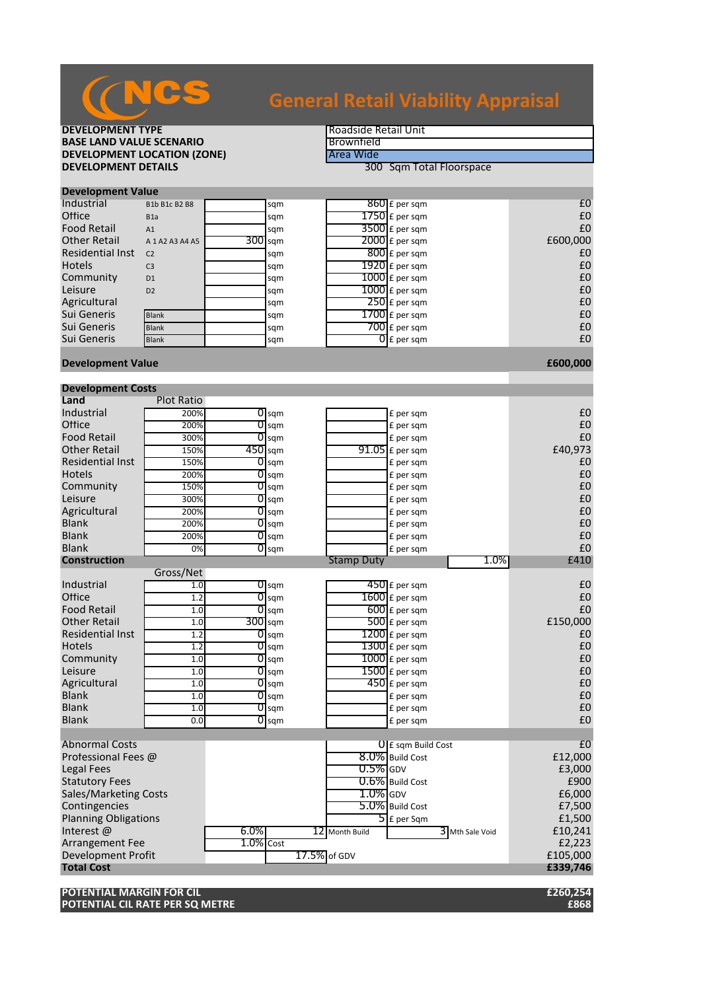

# **General Retail Viability Appraisal**

## **DEVELOPMENT TYPE**<br> **BASE LAND VALUE SCENARIO BASE LAND VALUE SCENARIO**<br> **DEVELOPMENT LOCATION (ZONE)** Area Wide **DEVELOPMENT LOCATION (ZONE)**<br>DEVELOPMENT DETAILS

**300 Sqm Total Floorspace** 

| <b>Development Value</b> |                     |  |           |  |                          |          |  |  |
|--------------------------|---------------------|--|-----------|--|--------------------------|----------|--|--|
| Industrial               | B1b B1c B2 B8       |  | sqm       |  | $860$ £ per sqm          | £C       |  |  |
| Office                   | B <sub>1</sub> a    |  | sqm       |  | $1750$ $E$ per sqm       | £C       |  |  |
| <b>Food Retail</b>       | A1                  |  | sqm       |  | $3500$ £ per sqm         | £C       |  |  |
| <b>Other Retail</b>      | A 1 A 2 A 3 A 4 A 5 |  | $300$ sqm |  | $2000$ $E$ per sqm       | £600,000 |  |  |
| Residential Inst         | C <sub>2</sub>      |  | sqm       |  | $800$ E per sqm          | £C       |  |  |
| Hotels                   | C <sub>3</sub>      |  | sqm       |  | $1920$ £ per sqm         | £C       |  |  |
| Community                | D <sub>1</sub>      |  | sqm       |  | $1000$ $E$ per sqm       | £C       |  |  |
| Leisure                  | D2                  |  | sqm       |  | $1000$ £ per sqm         | £C       |  |  |
| Agricultural             |                     |  | sqm       |  | $250$ £ per sqm          | £C       |  |  |
| Sui Generis              | <b>Blank</b>        |  | sqm       |  | $1700$ $E$ per sqm       | £C       |  |  |
| Sui Generis              | <b>Blank</b>        |  | sqm       |  | $700$ $E$ per sqm        | £C       |  |  |
| Sui Generis              | <b>Blank</b>        |  | sqm       |  | $\overline{O}$ E per sqm | £C       |  |  |
|                          |                     |  |           |  |                          |          |  |  |

#### **Development Value Alternative Contract Contract Contract Contract Contract Contract Contract Contract Contract Contract Contract Contract Contract Contract Contract Contract Contract Contract Contract Contract Contract**

| <b>Development Costs</b>     |                   |              |                    |                   |                             |                   |          |
|------------------------------|-------------------|--------------|--------------------|-------------------|-----------------------------|-------------------|----------|
| Land                         | <b>Plot Ratio</b> |              |                    |                   |                             |                   |          |
| Industrial                   | 200%              |              | $0$ sqm            |                   | £ per sqm                   |                   | £C       |
| Office                       | 200%              | 0            | sqm                |                   | £ per sqm                   |                   | £C       |
| <b>Food Retail</b>           | 300%              |              | $\overline{0}$ sqm |                   | £ per sqm                   |                   | £C       |
| <b>Other Retail</b>          | 150%              | 450 sqm      |                    |                   | $91.05$ £ per sqm           |                   | £40,973  |
| <b>Residential Inst</b>      | 150%              |              | $O$ sqm            |                   | £ per sqm                   |                   | £C       |
| <b>Hotels</b>                | 200%              | 01           | sqm                |                   | £ per sqm                   |                   | £C       |
| Community                    | 150%              |              | $\overline{0}$ sqm |                   | £ per sqm                   |                   | £C       |
| Leisure                      | 300%              |              | $\overline{O}$ sqm |                   | £ per sqm                   |                   | £C       |
| Agricultural                 | 200%              | 01           | sqm                |                   | £ per sqm                   |                   | £C       |
| <b>Blank</b>                 | 200%              |              | $0$ sqm            |                   | £ per sqm                   |                   | £C       |
| <b>Blank</b>                 | 200%              |              | $\overline{0}$ sqm |                   | £ per sqm                   |                   | £C       |
| <b>Blank</b>                 | 0%                | 01           | sqm                |                   | £ per sqm                   |                   | £C       |
| <b>Construction</b>          |                   |              |                    | <b>Stamp Duty</b> |                             | 1.0%              | £410     |
|                              | Gross/Net         |              |                    |                   |                             |                   |          |
| Industrial                   | 1.0               |              | $\overline{0}$ sqm |                   | $450$ £ per sqm             |                   | £C       |
| Office                       | 1.2               | 01           | sqm                |                   | $1600$ £ per sqm            |                   | £C       |
| <b>Food Retail</b>           | 1.0               |              | $\overline{0}$ sqm |                   | $600$ $E$ per sqm           |                   | £C       |
| <b>Other Retail</b>          | 1.0               |              | $300$ sqm          |                   | $500$ £ per sqm             |                   | £150,000 |
| Residential Inst             | 1.2               |              | $O$ sqm            |                   | $\overline{1200}$ £ per sqm |                   | £C       |
| <b>Hotels</b>                | 1.2               |              | $\overline{O}$ sqm |                   | $\overline{1300}$ £ per sqm |                   | £C       |
| Community                    | 1.0               |              | $\overline{O}$ sqm |                   | $1000$ £ per sqm            |                   | £0       |
| Leisure                      | 1.0               | O            | sqm                |                   | $1500$ £ per sqm            |                   | £C       |
| Agricultural                 | 1.0               |              | $\overline{0}$ sqm |                   | $450$ £ per sqm             |                   | £C       |
| <b>Blank</b>                 | 1.0               |              | $\overline{0}$ sqm |                   | £ per sqm                   |                   | £C       |
| <b>Blank</b>                 | 1.0               |              | $0$ sqm            |                   | £ per sqm                   |                   | £C       |
| <b>Blank</b>                 | 0.0               |              | $\overline{0}$ sqm |                   | £ per sqm                   |                   | £C       |
|                              |                   |              |                    |                   |                             |                   |          |
| <b>Abnormal Costs</b>        |                   |              |                    |                   | <b>U</b> E sqm Build Cost   |                   | E        |
| Professional Fees @          |                   |              |                    |                   | 8.0% Build Cost             |                   | £12,000  |
| <b>Legal Fees</b>            |                   |              |                    | $0.5\%$ GDV       |                             |                   | £3,000   |
| <b>Statutory Fees</b>        |                   |              |                    |                   | $0.6\%$ Build Cost          |                   | £900     |
| <b>Sales/Marketing Costs</b> |                   |              |                    | $1.0\%$ GDV       |                             |                   | £6,000   |
| Contingencies                |                   |              |                    |                   | 5.0% Build Cost             |                   | £7,500   |
| <b>Planning Obligations</b>  |                   |              |                    |                   | $5$ £ per Sqm               |                   | £1,500   |
| Interest@                    |                   | $6.0\%$      |                    | 12 Month Build    |                             | $3$ Mth Sale Void | £10,241  |
| Arrangement Fee              |                   | $1.0\%$ Cost |                    |                   |                             |                   | £2,223   |
| Development Profit           |                   |              | 17.5% of GDV       |                   |                             |                   | £105,000 |
| <b>Total Cost</b>            |                   |              |                    |                   |                             |                   | £339,746 |

**POTENTIAL MARGIN FOR CIL £260,254 POTENTIAL CIL RATE PER SQ METRE**